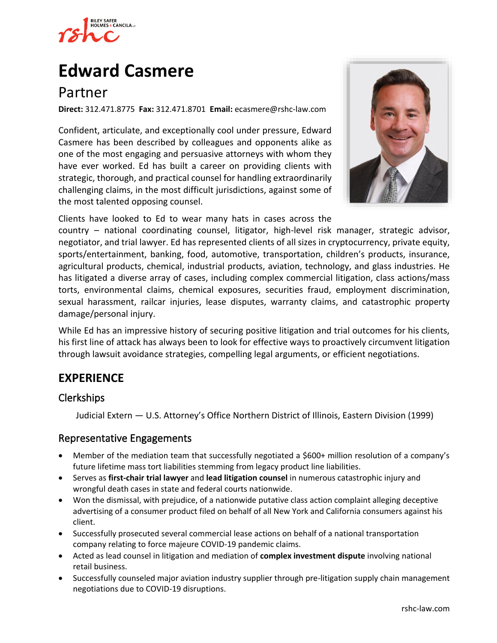

# **[Edward Casmere](https://www.rshc-law.com/attorneys/attorney/edward-casmere)**

## Partner

**Direct:** 312.471.8775 **Fax:** 312.471.8701 **Email:** ecasmere@rshc-law.com

Confident, articulate, and exceptionally cool under pressure, Edward Casmere has been described by colleagues and opponents alike as one of the most engaging and persuasive attorneys with whom they have ever worked. Ed has built a career on providing clients with strategic, thorough, and practical counsel for handling extraordinarily challenging claims, in the most difficult jurisdictions, against some of the most talented opposing counsel.



Clients have looked to Ed to wear many hats in cases across the

country – national coordinating counsel, litigator, high-level risk manager, strategic advisor, negotiator, and trial lawyer. Ed has represented clients of all sizes in cryptocurrency, private equity, sports/entertainment, banking, food, automotive, transportation, children's products, insurance, agricultural products, chemical, industrial products, aviation, technology, and glass industries. He has litigated a diverse array of cases, including complex commercial litigation, class actions/mass torts, environmental claims, chemical exposures, securities fraud, employment discrimination, sexual harassment, railcar injuries, lease disputes, warranty claims, and catastrophic property damage/personal injury.

While Ed has an impressive history of securing positive litigation and trial outcomes for his clients, his first line of attack has always been to look for effective ways to proactively circumvent litigation through lawsuit avoidance strategies, compelling legal arguments, or efficient negotiations.

## **EXPERIENCE**

#### Clerkships

Judicial Extern — U.S. Attorney's Office Northern District of Illinois, Eastern Division (1999)

#### Representative Engagements

- Member of the mediation team that successfully negotiated a \$600+ million resolution of a company's future lifetime mass tort liabilities stemming from legacy product line liabilities.
- Serves as **first-chair trial lawyer** and **lead litigation counsel** in numerous catastrophic injury and wrongful death cases in state and federal courts nationwide.
- Won the dismissal, with prejudice, of a nationwide putative class action complaint alleging deceptive advertising of a consumer product filed on behalf of all New York and California consumers against his client.
- Successfully prosecuted several commercial lease actions on behalf of a national transportation company relating to force majeure COVID-19 pandemic claims.
- Acted as lead counsel in litigation and mediation of **complex investment dispute** involving national retail business.
- Successfully counseled major aviation industry supplier through pre-litigation supply chain management negotiations due to COVID-19 disruptions.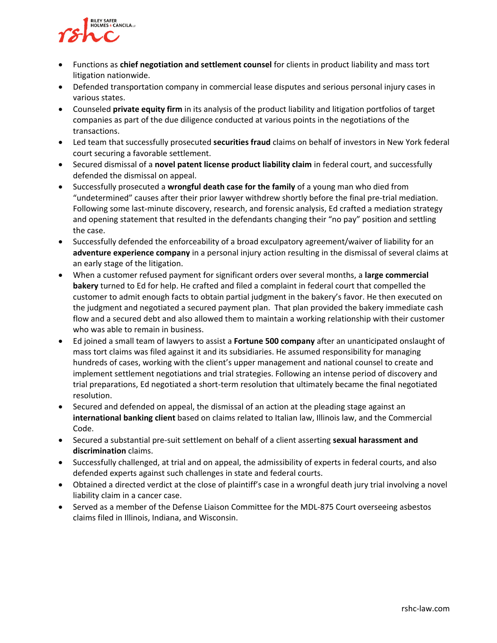

- Functions as **chief negotiation and settlement counsel** for clients in product liability and mass tort litigation nationwide.
- Defended transportation company in commercial lease disputes and serious personal injury cases in various states.
- Counseled **private equity firm** in its analysis of the product liability and litigation portfolios of target companies as part of the due diligence conducted at various points in the negotiations of the transactions.
- Led team that successfully prosecuted **securities fraud** claims on behalf of investors in New York federal court securing a favorable settlement.
- Secured dismissal of a **novel patent license product liability claim** in federal court, and successfully defended the dismissal on appeal.
- Successfully prosecuted a **wrongful death case for the family** of a young man who died from "undetermined" causes after their prior lawyer withdrew shortly before the final pre-trial mediation. Following some last-minute discovery, research, and forensic analysis, Ed crafted a mediation strategy and opening statement that resulted in the defendants changing their "no pay" position and settling the case.
- Successfully defended the enforceability of a broad exculpatory agreement/waiver of liability for an **adventure experience company** in a personal injury action resulting in the dismissal of several claims at an early stage of the litigation.
- When a customer refused payment for significant orders over several months, a **large commercial bakery** turned to Ed for help. He crafted and filed a complaint in federal court that compelled the customer to admit enough facts to obtain partial judgment in the bakery's favor. He then executed on the judgment and negotiated a secured payment plan. That plan provided the bakery immediate cash flow and a secured debt and also allowed them to maintain a working relationship with their customer who was able to remain in business.
- Ed joined a small team of lawyers to assist a **Fortune 500 company** after an unanticipated onslaught of mass tort claims was filed against it and its subsidiaries. He assumed responsibility for managing hundreds of cases, working with the client's upper management and national counsel to create and implement settlement negotiations and trial strategies. Following an intense period of discovery and trial preparations, Ed negotiated a short-term resolution that ultimately became the final negotiated resolution.
- Secured and defended on appeal, the dismissal of an action at the pleading stage against an **international banking client** based on claims related to Italian law, Illinois law, and the Commercial Code.
- Secured a substantial pre-suit settlement on behalf of a client asserting **sexual harassment and discrimination** claims.
- Successfully challenged, at trial and on appeal, the admissibility of experts in federal courts, and also defended experts against such challenges in state and federal courts.
- Obtained a directed verdict at the close of plaintiff's case in a wrongful death jury trial involving a novel liability claim in a cancer case.
- Served as a member of the Defense Liaison Committee for the MDL-875 Court overseeing asbestos claims filed in Illinois, Indiana, and Wisconsin.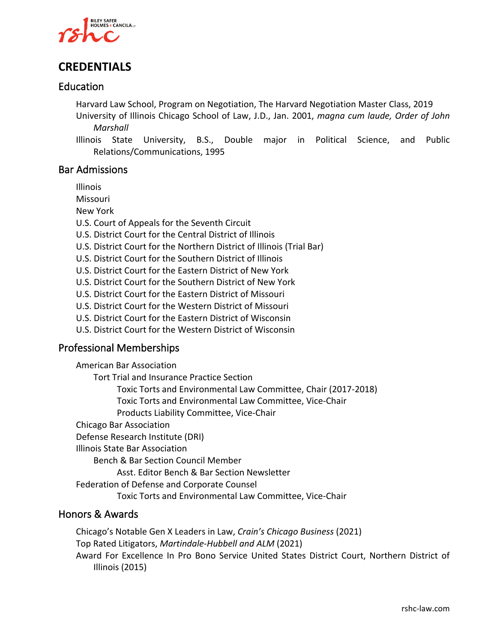

## **CREDENTIALS**

#### Education

Harvard Law School, Program on Negotiation, The Harvard Negotiation Master Class, 2019

- University of Illinois Chicago School of Law, J.D., Jan. 2001, *magna cum laude, Order of John Marshall*
- Illinois State University, B.S., Double major in Political Science, and Public Relations/Communications, 1995

#### Bar Admissions

Illinois

Missouri

New York

- U.S. Court of Appeals for the Seventh Circuit
- U.S. District Court for the Central District of Illinois
- U.S. District Court for the Northern District of Illinois (Trial Bar)
- U.S. District Court for the Southern District of Illinois
- U.S. District Court for the Eastern District of New York
- U.S. District Court for the Southern District of New York
- U.S. District Court for the Eastern District of Missouri
- U.S. District Court for the Western District of Missouri
- U.S. District Court for the Eastern District of Wisconsin
- U.S. District Court for the Western District of Wisconsin

#### Professional Memberships

American Bar Association Tort Trial and Insurance Practice Section Toxic Torts and Environmental Law Committee, Chair (2017-2018) Toxic Torts and Environmental Law Committee, Vice-Chair Products Liability Committee, Vice-Chair Chicago Bar Association Defense Research Institute (DRI) Illinois State Bar Association Bench & Bar Section Council Member Asst. Editor Bench & Bar Section Newsletter Federation of Defense and Corporate Counsel Toxic Torts and Environmental Law Committee, Vice-Chair

#### Honors & Awards

Chicago's Notable Gen X Leaders in Law, *Crain's Chicago Business* (2021) Top Rated Litigators, *Martindale-Hubbell and ALM* (2021) Award For Excellence In Pro Bono Service United States District Court, Northern District of Illinois (2015)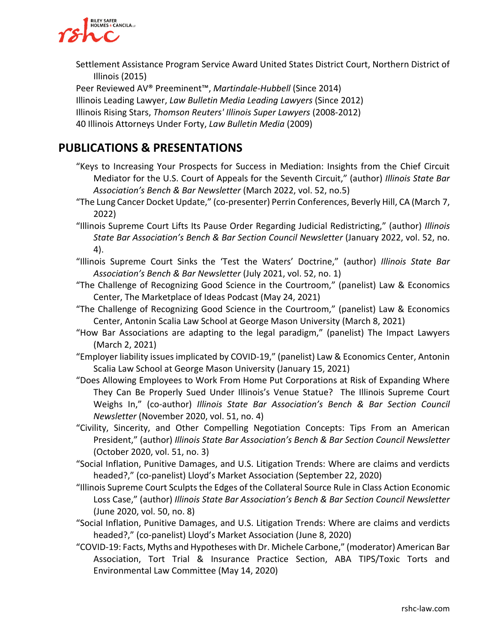

Settlement Assistance Program Service Award United States District Court, Northern District of Illinois (2015)

Peer Reviewed AV® Preeminent™, *Martindale-Hubbell* (Since 2014)

Illinois Leading Lawyer, *Law Bulletin Media Leading Lawyers* (Since 2012)

Illinois Rising Stars, *Thomson Reuters' Illinois Super Lawyers* (2008-2012)

40 Illinois Attorneys Under Forty, *Law Bulletin Media* (2009)

### **PUBLICATIONS & PRESENTATIONS**

- "Keys to Increasing Your Prospects for Success in Mediation: Insights from the Chief Circuit Mediator for the U.S. Court of Appeals for the Seventh Circuit," (author) *Illinois State Bar Association's Bench & Bar Newsletter* (March 2022, vol. 52, no.5)
- "The Lung Cancer Docket Update," (co-presenter) Perrin Conferences, Beverly Hill, CA (March 7, 2022)
- "Illinois Supreme Court Lifts Its Pause Order Regarding Judicial Redistricting," (author) *Illinois State Bar Association's Bench & Bar Section Council Newsletter* (January 2022, vol. 52, no. 4).
- "Illinois Supreme Court Sinks the 'Test the Waters' Doctrine," (author) *Illinois State Bar Association's Bench & Bar Newsletter* (July 2021, vol. 52, no. 1)
- "The Challenge of Recognizing Good Science in the Courtroom," (panelist) Law & Economics Center, The Marketplace of Ideas Podcast (May 24, 2021)
- "The Challenge of Recognizing Good Science in the Courtroom," (panelist) Law & Economics Center, Antonin Scalia Law School at George Mason University (March 8, 2021)
- "How Bar Associations are adapting to the legal paradigm," (panelist) The Impact Lawyers (March 2, 2021)
- "Employer liability issues implicated by COVID-19," (panelist) Law & Economics Center, Antonin Scalia Law School at George Mason University (January 15, 2021)
- "Does Allowing Employees to Work From Home Put Corporations at Risk of Expanding Where They Can Be Properly Sued Under Illinois's Venue Statue? The Illinois Supreme Court Weighs In," (co-author) *Illinois State Bar Association's Bench & Bar Section Council Newsletter* (November 2020, vol. 51, no. 4)
- "Civility, Sincerity, and Other Compelling Negotiation Concepts: Tips From an American President," (author) *Illinois State Bar Association's Bench & Bar Section Council Newsletter* (October 2020, vol. 51, no. 3)
- "Social Inflation, Punitive Damages, and U.S. Litigation Trends: Where are claims and verdicts headed?," (co-panelist) Lloyd's Market Association (September 22, 2020)
- "Illinois Supreme Court Sculpts the Edges of the Collateral Source Rule in Class Action Economic Loss Case," (author) *Illinois State Bar Association's Bench & Bar Section Council Newsletter*  (June 2020, vol. 50, no. 8)
- "Social Inflation, Punitive Damages, and U.S. Litigation Trends: Where are claims and verdicts headed?," (co-panelist) Lloyd's Market Association (June 8, 2020)
- "COVID-19: Facts, Myths and Hypotheses with Dr. Michele Carbone," (moderator) American Bar Association, Tort Trial & Insurance Practice Section, ABA TIPS/Toxic Torts and Environmental Law Committee (May 14, 2020)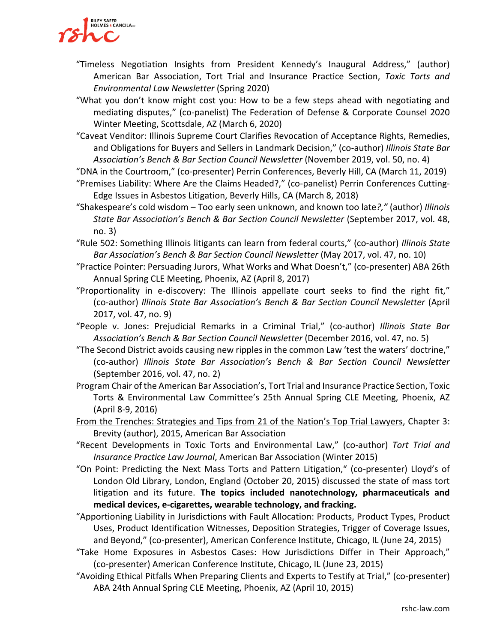

- "Timeless Negotiation Insights from President Kennedy's Inaugural Address," (author) American Bar Association, Tort Trial and Insurance Practice Section, *Toxic Torts and Environmental Law Newsletter* (Spring 2020)
- "What you don't know might cost you: How to be a few steps ahead with negotiating and mediating disputes," (co-panelist) The Federation of Defense & Corporate Counsel 2020 Winter Meeting, Scottsdale, AZ (March 6, 2020)
- "Caveat Venditor: Illinois Supreme Court Clarifies Revocation of Acceptance Rights, Remedies, and Obligations for Buyers and Sellers in Landmark Decision," (co-author) *Illinois State Bar Association's Bench & Bar Section Council Newsletter* (November 2019, vol. 50, no. 4)

"DNA in the Courtroom," (co-presenter) Perrin Conferences, Beverly Hill, CA (March 11, 2019)

- "Premises Liability: Where Are the Claims Headed?," (co-panelist) Perrin Conferences Cutting-Edge Issues in Asbestos Litigation, Beverly Hills, CA (March 8, 2018)
- "Shakespeare's cold wisdom Too early seen unknown, and known too late*?,"* (author) *Illinois State Bar Association's Bench & Bar Section Council Newsletter* (September 2017, vol. 48, no. 3)

"Rule 502: Something Illinois litigants can learn from federal courts," (co-author) *Illinois State Bar Association's Bench & Bar Section Council Newsletter* (May 2017, vol. 47, no. 10)

- "Practice Pointer: Persuading Jurors, What Works and What Doesn't," (co-presenter) ABA 26th Annual Spring CLE Meeting, Phoenix, AZ (April 8, 2017)
- "Proportionality in e-discovery: The Illinois appellate court seeks to find the right fit," (co-author) *Illinois State Bar Association's Bench & Bar Section Council Newsletter* (April 2017, vol. 47, no. 9)

"People v. Jones: Prejudicial Remarks in a Criminal Trial," (co-author) *Illinois State Bar Association's Bench & Bar Section Council Newsletter* (December 2016, vol. 47, no. 5)

"The Second District avoids causing new ripples in the common Law 'test the waters' doctrine," (co-author) *Illinois State Bar Association's Bench & Bar Section Council Newsletter* (September 2016, vol. 47, no. 2)

Program Chair of the American Bar Association's, Tort Trial and Insurance Practice Section, Toxic Torts & Environmental Law Committee's 25th Annual Spring CLE Meeting, Phoenix, AZ (April 8-9, 2016)

From the Trenches: Strategies and Tips from 21 of the Nation's Top Trial Lawyers, Chapter 3: Brevity (author), 2015, American Bar Association

"Recent Developments in Toxic Torts and Environmental Law," (co-author) *Tort Trial and Insurance Practice Law Journal*, American Bar Association (Winter 2015)

"On Point: Predicting the Next Mass Torts and Pattern Litigation," (co-presenter) Lloyd's of London Old Library, London, England (October 20, 2015) discussed the state of mass tort litigation and its future. **The topics included nanotechnology, pharmaceuticals and medical devices, e-cigarettes, wearable technology, and fracking.**

"Apportioning Liability in Jurisdictions with Fault Allocation: Products, Product Types, Product Uses, Product Identification Witnesses, Deposition Strategies, Trigger of Coverage Issues, and Beyond," (co-presenter), American Conference Institute, Chicago, IL (June 24, 2015)

- "Take Home Exposures in Asbestos Cases: How Jurisdictions Differ in Their Approach," (co-presenter) American Conference Institute, Chicago, IL (June 23, 2015)
- "Avoiding Ethical Pitfalls When Preparing Clients and Experts to Testify at Trial," (co-presenter) ABA 24th Annual Spring CLE Meeting, Phoenix, AZ (April 10, 2015)